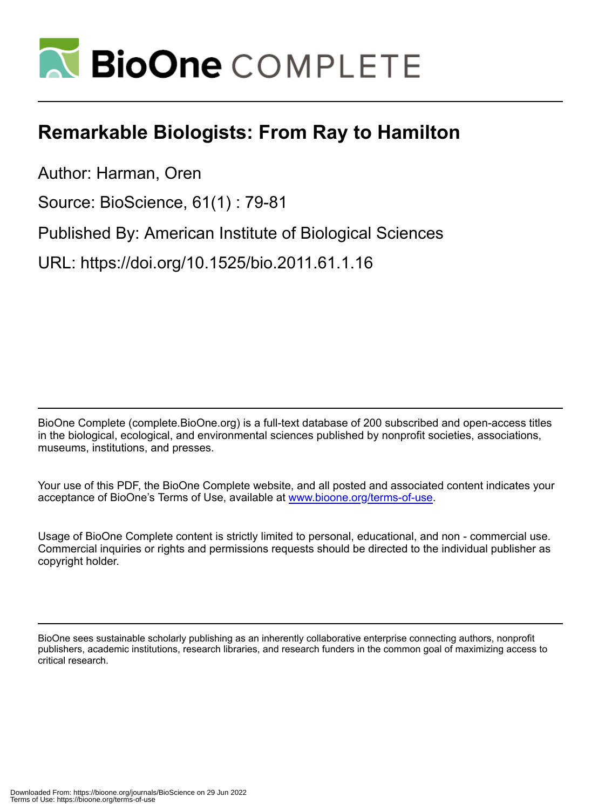

# **Remarkable Biologists: From Ray to Hamilton**

Author: Harman, Oren

Source: BioScience, 61(1) : 79-81

Published By: American Institute of Biological Sciences

URL: https://doi.org/10.1525/bio.2011.61.1.16

BioOne Complete (complete.BioOne.org) is a full-text database of 200 subscribed and open-access titles in the biological, ecological, and environmental sciences published by nonprofit societies, associations, museums, institutions, and presses.

Your use of this PDF, the BioOne Complete website, and all posted and associated content indicates your acceptance of BioOne's Terms of Use, available at www.bioone.org/terms-of-use.

Usage of BioOne Complete content is strictly limited to personal, educational, and non - commercial use. Commercial inquiries or rights and permissions requests should be directed to the individual publisher as copyright holder.

BioOne sees sustainable scholarly publishing as an inherently collaborative enterprise connecting authors, nonprofit publishers, academic institutions, research libraries, and research funders in the common goal of maximizing access to critical research.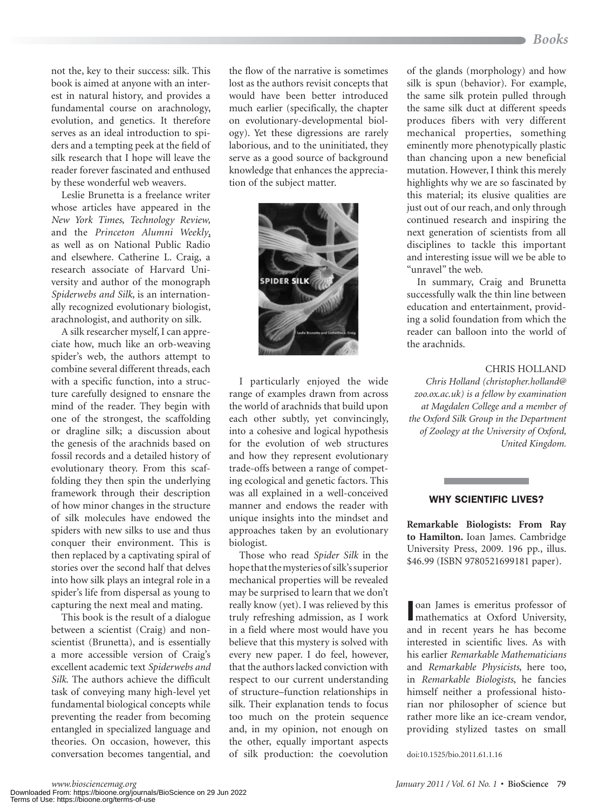not the, key to their success: silk. This book is aimed at anyone with an interest in natural history, and provides a fundamental course on arachnology, evolution, and genetics. It therefore serves as an ideal introduction to spiders and a tempting peek at the field of silk research that I hope will leave the reader forever fascinated and enthused by these wonderful web weavers.

Leslie Brunetta is a freelance writer whose articles have appeared in the *New York Times*, *Technology Review,* and the *Princeton Alumni Weekly*, as well as on National Public Radio and elsewhere. Catherine L. Craig, a research associate of Harvard University and author of the monograph *Spiderwebs and Silk*, is an internationally recognized evolutionary biologist, arachnologist, and authority on silk.

A silk researcher myself, I can appreciate how, much like an orb-weaving spider's web, the authors attempt to combine several different threads, each with a specific function, into a structure carefully designed to ensnare the mind of the reader. They begin with one of the strongest, the scaffolding or dragline silk; a discussion about the genesis of the arachnids based on fossil records and a detailed history of evolutionary theory. From this scaffolding they then spin the underlying framework through their description of how minor changes in the structure of silk molecules have endowed the spiders with new silks to use and thus conquer their environment. This is then replaced by a captivating spiral of stories over the second half that delves into how silk plays an integral role in a spider's life from dispersal as young to capturing the next meal and mating.

This book is the result of a dialogue between a scientist (Craig) and nonscientist (Brunetta), and is essentially a more accessible version of Craig's excellent academic text *Spiderwebs and Silk*. The authors achieve the difficult task of conveying many high-level yet fundamental biological concepts while preventing the reader from becoming entangled in specialized language and theories. On occasion, however, this conversation becomes tangential, and

the flow of the narrative is sometimes lost as the authors revisit concepts that would have been better introduced much earlier (specifically, the chapter on evolutionary-developmental biology). Yet these digressions are rarely laborious, and to the uninitiated, they serve as a good source of background knowledge that enhances the appreciation of the subject matter.



I particularly enjoyed the wide range of examples drawn from across the world of arachnids that build upon each other subtly, yet convincingly, into a cohesive and logical hypothesis for the evolution of web structures and how they represent evolutionary trade-offs between a range of competing ecological and genetic factors. This was all explained in a well-conceived manner and endows the reader with unique insights into the mindset and approaches taken by an evolutionary biologist.

Those who read *Spider Silk* in the hope that the mysteries of silk's superior mechanical properties will be revealed may be surprised to learn that we don't really know (yet). I was relieved by this truly refreshing admission, as I work in a field where most would have you believe that this mystery is solved with every new paper. I do feel, however, that the authors lacked conviction with respect to our current understanding of structure–function relationships in silk. Their explanation tends to focus too much on the protein sequence and, in my opinion, not enough on the other, equally important aspects of silk production: the coevolution doi:10.1525/bio.2011.61.1.16

of the glands (morphology) and how silk is spun (behavior). For example, the same silk protein pulled through the same silk duct at different speeds produces fibers with very different mechanical properties, something eminently more phenotypically plastic than chancing upon a new beneficial mutation. However, I think this merely highlights why we are so fascinated by this material; its elusive qualities are just out of our reach, and only through continued research and inspiring the next generation of scientists from all disciplines to tackle this important and interesting issue will we be able to "unravel" the web.

In summary, Craig and Brunetta successfully walk the thin line between education and entertainment, providing a solid foundation from which the reader can balloon into the world of the arachnids.

# CHRIS HOLLAND

*Chris Holland (christopher.holland@ zoo.ox.ac.uk) is a fellow by examination at Magdalen College and a member of the Oxford Silk Group in the Department of Zoology at the University of Oxford, United Kingdom.*

#### WHY SCIENTIFIC LIVES?

**Remarkable Biologists: From Ray to Hamilton.** Ioan James. Cambridge University Press, 2009. 196 pp., illus. \$46.99 (ISBN 9780521699181 paper).

oan James is emeritus professor of<br>mathematics at Oxford University, oan James is emeritus professor of and in recent years he has become interested in scientific lives. As with his earlier *Remarkable Mathematicians* and *Remarkable Physicists*, here too, in *Remarkable Biologists*, he fancies himself neither a professional historian nor philosopher of science but rather more like an ice-cream vendor, providing stylized tastes on small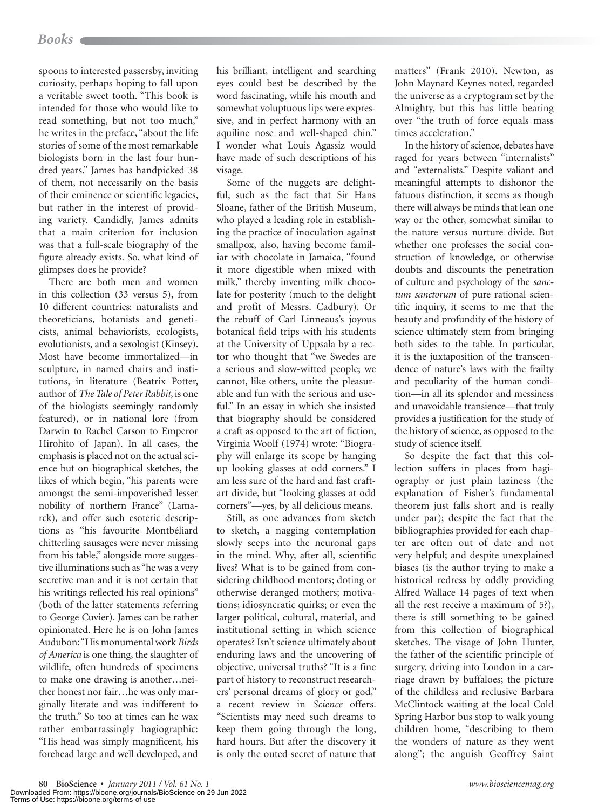spoons to interested passersby, inviting curiosity, perhaps hoping to fall upon a veritable sweet tooth. "This book is intended for those who would like to read something, but not too much," he writes in the preface, "about the life stories of some of the most remarkable biologists born in the last four hundred years." James has handpicked 38 of them, not necessarily on the basis of their eminence or scientific legacies, but rather in the interest of providing variety. Candidly, James admits that a main criterion for inclusion was that a full-scale biography of the figure already exists. So, what kind of glimpses does he provide?

There are both men and women in this collection (33 versus 5), from 10 different countries: naturalists and theoreticians, botanists and geneticists, animal behaviorists, ecologists, evolutionists, and a sexologist (Kinsey). Most have become immortalized—in sculpture, in named chairs and institutions, in literature (Beatrix Potter, author of *The Tale of Peter Rabbit*, is one of the biologists seemingly randomly featured), or in national lore (from Darwin to Rachel Carson to Emperor Hirohito of Japan). In all cases, the emphasis is placed not on the actual science but on biographical sketches, the likes of which begin, "his parents were amongst the semi-impoverished lesser nobility of northern France" (Lamarck), and offer such esoteric descriptions as "his favourite Montbéliard chitterling sausages were never missing from his table," alongside more suggestive illuminations such as "he was a very secretive man and it is not certain that his writings reflected his real opinions" (both of the latter statements referring to George Cuvier). James can be rather opinionated. Here he is on John James Audubon: "His monumental work *Birds of America* is one thing, the slaughter of wildlife, often hundreds of specimens to make one drawing is another…neither honest nor fair…he was only marginally literate and was indifferent to the truth." So too at times can he wax rather embarrassingly hagiographic: "His head was simply magnificent, his forehead large and well developed, and

his brilliant, intelligent and searching eyes could best be described by the word fascinating, while his mouth and somewhat voluptuous lips were expressive, and in perfect harmony with an aquiline nose and well-shaped chin." I wonder what Louis Agassiz would have made of such descriptions of his visage.

Some of the nuggets are delightful, such as the fact that Sir Hans Sloane, father of the British Museum, who played a leading role in establishing the practice of inoculation against smallpox, also, having become familiar with chocolate in Jamaica, "found it more digestible when mixed with milk," thereby inventing milk chocolate for posterity (much to the delight and profit of Messrs. Cadbury). Or the rebuff of Carl Linneaus's joyous botanical field trips with his students at the University of Uppsala by a rector who thought that "we Swedes are a serious and slow-witted people; we cannot, like others, unite the pleasurable and fun with the serious and useful." In an essay in which she insisted that biography should be considered a craft as opposed to the art of fiction, Virginia Woolf (1974) wrote: "Biography will enlarge its scope by hanging up looking glasses at odd corners." I am less sure of the hard and fast craftart divide, but "looking glasses at odd corners"—yes, by all delicious means.

Still, as one advances from sketch to sketch, a nagging contemplation slowly seeps into the neuronal gaps in the mind. Why, after all, scientific lives? What is to be gained from considering childhood mentors; doting or otherwise deranged mothers; motivations; idiosyncratic quirks; or even the larger political, cultural, material, and institutional setting in which science operates? Isn't science ultimately about enduring laws and the uncovering of objective, universal truths? "It is a fine part of history to reconstruct researchers' personal dreams of glory or god," a recent review in *Science* offers. "Scientists may need such dreams to keep them going through the long, hard hours. But after the discovery it is only the outed secret of nature that matters" (Frank 2010). Newton, as John Maynard Keynes noted, regarded the universe as a cryptogram set by the Almighty, but this has little bearing over "the truth of force equals mass times acceleration."

In the history of science, debates have raged for years between "internalists" and "externalists." Despite valiant and meaningful attempts to dishonor the fatuous distinction, it seems as though there will always be minds that lean one way or the other, somewhat similar to the nature versus nurture divide. But whether one professes the social construction of knowledge, or otherwise doubts and discounts the penetration of culture and psychology of the *sanctum sanctorum* of pure rational scientific inquiry, it seems to me that the beauty and profundity of the history of science ultimately stem from bringing both sides to the table. In particular, it is the juxtaposition of the transcendence of nature's laws with the frailty and peculiarity of the human condition—in all its splendor and messiness and unavoidable transience—that truly provides a justification for the study of the history of science, as opposed to the study of science itself.

So despite the fact that this collection suffers in places from hagiography or just plain laziness (the explanation of Fisher's fundamental theorem just falls short and is really under par); despite the fact that the bibliographies provided for each chapter are often out of date and not very helpful; and despite unexplained biases (is the author trying to make a historical redress by oddly providing Alfred Wallace 14 pages of text when all the rest receive a maximum of 5?), there is still something to be gained from this collection of biographical sketches. The visage of John Hunter, the father of the scientific principle of surgery, driving into London in a carriage drawn by buffaloes; the picture of the childless and reclusive Barbara McClintock waiting at the local Cold Spring Harbor bus stop to walk young children home, "describing to them the wonders of nature as they went along"; the anguish Geoffrey Saint